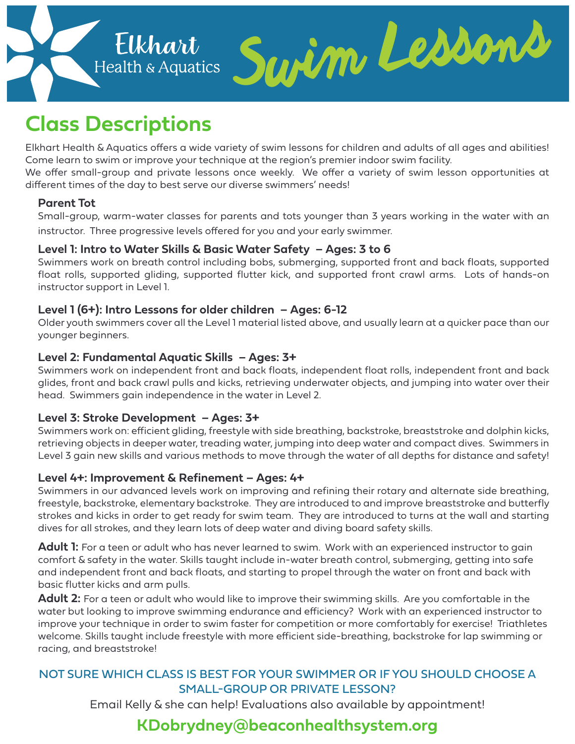

# **Class Descriptions**

Elkhart Health & Aquatics offers a wide variety of swim lessons for children and adults of all ages and abilities! Come learn to swim or improve your technique at the region's premier indoor swim facility.

We offer small-group and private lessons once weekly. We offer a variety of swim lesson opportunities at different times of the day to best serve our diverse swimmers' needs!

#### **Parent Tot**

Small-group, warm-water classes for parents and tots younger than 3 years working in the water with an instructor. Three progressive levels offered for you and your early swimmer.

#### **Level 1: Intro to Water Skills & Basic Water Safety – Ages: 3 to 6**

Swimmers work on breath control including bobs, submerging, supported front and back floats, supported float rolls, supported gliding, supported flutter kick, and supported front crawl arms. Lots of hands-on instructor support in Level 1.

#### **Level 1 (6+): Intro Lessons for older children – Ages: 6-12**

Older youth swimmers cover all the Level 1 material listed above, and usually learn at a quicker pace than our younger beginners.

#### **Level 2: Fundamental Aquatic Skills – Ages: 3+**

Swimmers work on independent front and back floats, independent float rolls, independent front and back glides, front and back crawl pulls and kicks, retrieving underwater objects, and jumping into water over their head. Swimmers gain independence in the water in Level 2.

#### **Level 3: Stroke Development – Ages: 3+**

Swimmers work on: efficient gliding, freestyle with side breathing, backstroke, breaststroke and dolphin kicks, retrieving objects in deeper water, treading water, jumping into deep water and compact dives. Swimmers in Level 3 gain new skills and various methods to move through the water of all depths for distance and safety!

#### **Level 4+: Improvement & Refinement – Ages: 4+**

Swimmers in our advanced levels work on improving and refining their rotary and alternate side breathing, freestyle, backstroke, elementary backstroke. They are introduced to and improve breaststroke and butterfly strokes and kicks in order to get ready for swim team. They are introduced to turns at the wall and starting dives for all strokes, and they learn lots of deep water and diving board safety skills.

**Adult 1:** For a teen or adult who has never learned to swim. Work with an experienced instructor to gain comfort & safety in the water. Skills taught include in-water breath control, submerging, getting into safe and independent front and back floats, and starting to propel through the water on front and back with basic flutter kicks and arm pulls.

**Adult 2:** For a teen or adult who would like to improve their swimming skills. Are you comfortable in the water but looking to improve swimming endurance and efficiency? Work with an experienced instructor to improve your technique in order to swim faster for competition or more comfortably for exercise! Triathletes welcome. Skills taught include freestyle with more efficient side-breathing, backstroke for lap swimming or racing, and breaststroke!

# NOT SURE WHICH CLASS IS BEST FOR YOUR SWIMMER OR IF YOU SHOULD CHOOSE A SMALL-GROUP OR PRIVATE LESSON?

Email Kelly & she can help! Evaluations also available by appointment!

# **KDobrydney@beaconhealthsystem.org**